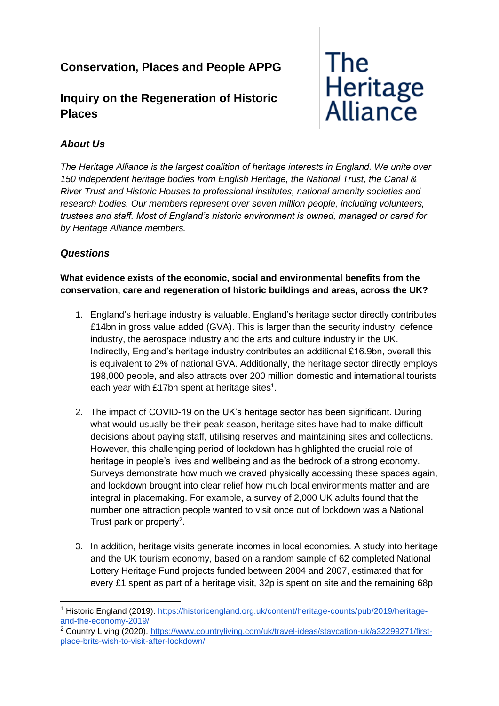## **Conservation, Places and People APPG**

## **Inquiry on the Regeneration of Historic Places**

# **The** Heritage<br>Alliance

### *About Us*

*The Heritage Alliance is the largest coalition of heritage interests in England. We unite over 150 independent heritage bodies from English Heritage, the National Trust, the Canal & River Trust and Historic Houses to professional institutes, national amenity societies and research bodies. Our members represent over seven million people, including volunteers, trustees and staff. Most of England's historic environment is owned, managed or cared for by Heritage Alliance members.*

#### *Questions*

#### **What evidence exists of the economic, social and environmental benefits from the conservation, care and regeneration of historic buildings and areas, across the UK?**

- 1. England's heritage industry is valuable. England's heritage sector directly contributes £14bn in gross value added (GVA). This is larger than the security industry, defence industry, the aerospace industry and the arts and culture industry in the UK. Indirectly, England's heritage industry contributes an additional £16.9bn, overall this is equivalent to 2% of national GVA. Additionally, the heritage sector directly employs 198,000 people, and also attracts over 200 million domestic and international tourists each year with £17bn spent at heritage sites<sup>1</sup>.
- 2. The impact of COVID-19 on the UK's heritage sector has been significant. During what would usually be their peak season, heritage sites have had to make difficult decisions about paying staff, utilising reserves and maintaining sites and collections. However, this challenging period of lockdown has highlighted the crucial role of heritage in people's lives and wellbeing and as the bedrock of a strong economy. Surveys demonstrate how much we craved physically accessing these spaces again, and lockdown brought into clear relief how much local environments matter and are integral in placemaking. For example, a survey of 2,000 UK adults found that the number one attraction people wanted to visit once out of lockdown was a National Trust park or property<sup>2</sup>.
- 3. In addition, heritage visits generate incomes in local economies. A study into heritage and the UK tourism economy, based on a random sample of 62 completed National Lottery Heritage Fund projects funded between 2004 and 2007, estimated that for every £1 spent as part of a heritage visit, 32p is spent on site and the remaining 68p

<sup>1</sup> Historic England (2019). [https://historicengland.org.uk/content/heritage-counts/pub/2019/heritage](https://historicengland.org.uk/content/heritage-counts/pub/2019/heritage-and-the-economy-2019/)[and-the-economy-2019/](https://historicengland.org.uk/content/heritage-counts/pub/2019/heritage-and-the-economy-2019/)

<sup>&</sup>lt;sup>2</sup> Country Living (2020). [https://www.countryliving.com/uk/travel-ideas/staycation-uk/a32299271/first](https://www.countryliving.com/uk/travel-ideas/staycation-uk/a32299271/first-place-brits-wish-to-visit-after-lockdown/)[place-brits-wish-to-visit-after-lockdown/](https://www.countryliving.com/uk/travel-ideas/staycation-uk/a32299271/first-place-brits-wish-to-visit-after-lockdown/)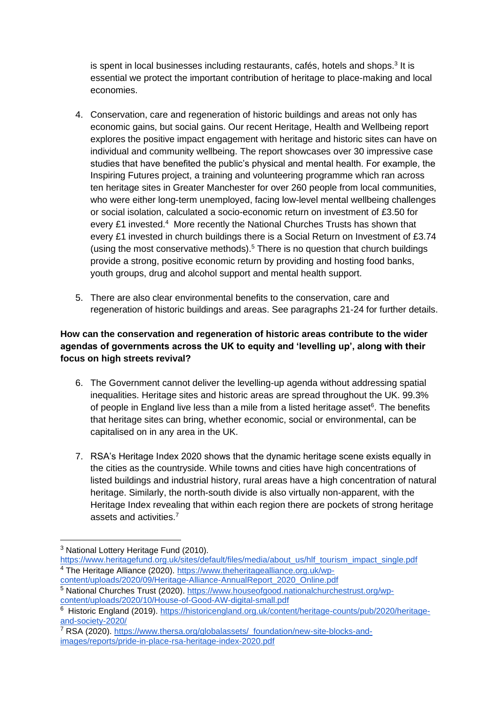is spent in local businesses including restaurants, cafés, hotels and shops.<sup>3</sup> It is essential we protect the important contribution of heritage to place-making and local economies.

- 4. Conservation, care and regeneration of historic buildings and areas not only has economic gains, but social gains. Our recent Heritage, Health and Wellbeing report explores the positive impact engagement with heritage and historic sites can have on individual and community wellbeing. The report showcases over 30 impressive case studies that have benefited the public's physical and mental health. For example, the Inspiring Futures project, a training and volunteering programme which ran across ten heritage sites in Greater Manchester for over 260 people from local communities, who were either long-term unemployed, facing low-level mental wellbeing challenges or social isolation, calculated a socio-economic return on investment of £3.50 for every £1 invested.<sup>4</sup> More recently the National Churches Trusts has shown that every £1 invested in church buildings there is a Social Return on Investment of £3.74 (using the most conservative methods).<sup>5</sup> There is no question that church buildings provide a strong, positive economic return by providing and hosting food banks, youth groups, drug and alcohol support and mental health support.
- 5. There are also clear environmental benefits to the conservation, care and regeneration of historic buildings and areas. See paragraphs 21-24 for further details.

#### **How can the conservation and regeneration of historic areas contribute to the wider agendas of governments across the UK to equity and 'levelling up', along with their focus on high streets revival?**

- 6. The Government cannot deliver the levelling-up agenda without addressing spatial inequalities. Heritage sites and historic areas are spread throughout the UK. 99.3% of people in England live less than a mile from a listed heritage asset<sup>6</sup>. The benefits that heritage sites can bring, whether economic, social or environmental, can be capitalised on in any area in the UK.
- 7. RSA's Heritage Index 2020 shows that the dynamic heritage scene exists equally in the cities as the countryside. While towns and cities have high concentrations of listed buildings and industrial history, rural areas have a high concentration of natural heritage. Similarly, the north-south divide is also virtually non-apparent, with the Heritage Index revealing that within each region there are pockets of strong heritage assets and activities.<sup>7</sup>

<sup>3</sup> National Lottery Heritage Fund (2010).

[https://www.heritagefund.org.uk/sites/default/files/media/about\\_us/hlf\\_tourism\\_impact\\_single.pdf](https://www.heritagefund.org.uk/sites/default/files/media/about_us/hlf_tourism_impact_single.pdf) <sup>4</sup> The Heritage Alliance (2020). [https://www.theheritagealliance.org.uk/wp](https://www.theheritagealliance.org.uk/wp-content/uploads/2020/09/Heritage-Alliance-AnnualReport_2020_Online.pdf)[content/uploads/2020/09/Heritage-Alliance-AnnualReport\\_2020\\_Online.pdf](https://www.theheritagealliance.org.uk/wp-content/uploads/2020/09/Heritage-Alliance-AnnualReport_2020_Online.pdf)

<sup>5</sup> National Churches Trust (2020). [https://www.houseofgood.nationalchurchestrust.org/wp](https://www.houseofgood.nationalchurchestrust.org/wp-content/uploads/2020/10/House-of-Good-AW-digital-small.pdf)[content/uploads/2020/10/House-of-Good-AW-digital-small.pdf](https://www.houseofgood.nationalchurchestrust.org/wp-content/uploads/2020/10/House-of-Good-AW-digital-small.pdf)

<sup>&</sup>lt;sup>6</sup> Historic England (2019). [https://historicengland.org.uk/content/heritage-counts/pub/2020/heritage](https://historicengland.org.uk/content/heritage-counts/pub/2020/heritage-and-society-2020/)[and-society-2020/](https://historicengland.org.uk/content/heritage-counts/pub/2020/heritage-and-society-2020/)

RSA (2020). [https://www.thersa.org/globalassets/\\_foundation/new-site-blocks-and](https://www.thersa.org/globalassets/_foundation/new-site-blocks-and-images/reports/pride-in-place-rsa-heritage-index-2020.pdf)[images/reports/pride-in-place-rsa-heritage-index-2020.pdf](https://www.thersa.org/globalassets/_foundation/new-site-blocks-and-images/reports/pride-in-place-rsa-heritage-index-2020.pdf)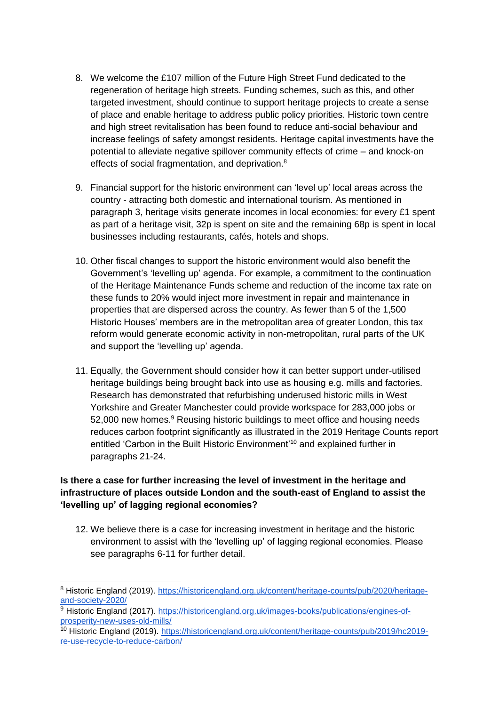- 8. We welcome the £107 million of the Future High Street Fund dedicated to the regeneration of heritage high streets. Funding schemes, such as this, and other targeted investment, should continue to support heritage projects to create a sense of place and enable heritage to address public policy priorities. Historic town centre and high street revitalisation has been found to reduce anti-social behaviour and increase feelings of safety amongst residents. Heritage capital investments have the potential to alleviate negative spillover community effects of crime – and knock-on effects of social fragmentation, and deprivation.<sup>8</sup>
- 9. Financial support for the historic environment can 'level up' local areas across the country - attracting both domestic and international tourism. As mentioned in paragraph 3, heritage visits generate incomes in local economies: for every £1 spent as part of a heritage visit, 32p is spent on site and the remaining 68p is spent in local businesses including restaurants, cafés, hotels and shops.
- 10. Other fiscal changes to support the historic environment would also benefit the Government's 'levelling up' agenda. For example, a commitment to the continuation of the Heritage Maintenance Funds scheme and reduction of the income tax rate on these funds to 20% would inject more investment in repair and maintenance in properties that are dispersed across the country. As fewer than 5 of the 1,500 Historic Houses' members are in the metropolitan area of greater London, this tax reform would generate economic activity in non-metropolitan, rural parts of the UK and support the 'levelling up' agenda.
- 11. Equally, the Government should consider how it can better support under-utilised heritage buildings being brought back into use as housing e.g. mills and factories. Research has demonstrated that refurbishing underused historic mills in West Yorkshire and Greater Manchester could provide workspace for 283,000 jobs or 52,000 new homes.<sup>9</sup> Reusing historic buildings to meet office and housing needs reduces carbon footprint significantly as illustrated in the 2019 Heritage Counts report entitled 'Carbon in the Built Historic Environment'<sup>10</sup> and explained further in paragraphs 21-24.

#### **Is there a case for further increasing the level of investment in the heritage and infrastructure of places outside London and the south-east of England to assist the 'levelling up' of lagging regional economies?**

12. We believe there is a case for increasing investment in heritage and the historic environment to assist with the 'levelling up' of lagging regional economies. Please see paragraphs 6-11 for further detail.

<sup>8</sup> Historic England (2019). [https://historicengland.org.uk/content/heritage-counts/pub/2020/heritage](https://historicengland.org.uk/content/heritage-counts/pub/2020/heritage-and-society-2020/)[and-society-2020/](https://historicengland.org.uk/content/heritage-counts/pub/2020/heritage-and-society-2020/)

 $\frac{9}{9}$  Historic England (2017). [https://historicengland.org.uk/images-books/publications/engines-of](https://historicengland.org.uk/images-books/publications/engines-of-prosperity-new-uses-old-mills/)[prosperity-new-uses-old-mills/](https://historicengland.org.uk/images-books/publications/engines-of-prosperity-new-uses-old-mills/)

<sup>10</sup> Historic England (2019). [https://historicengland.org.uk/content/heritage-counts/pub/2019/hc2019](https://historicengland.org.uk/content/heritage-counts/pub/2019/hc2019-re-use-recycle-to-reduce-carbon/) [re-use-recycle-to-reduce-carbon/](https://historicengland.org.uk/content/heritage-counts/pub/2019/hc2019-re-use-recycle-to-reduce-carbon/)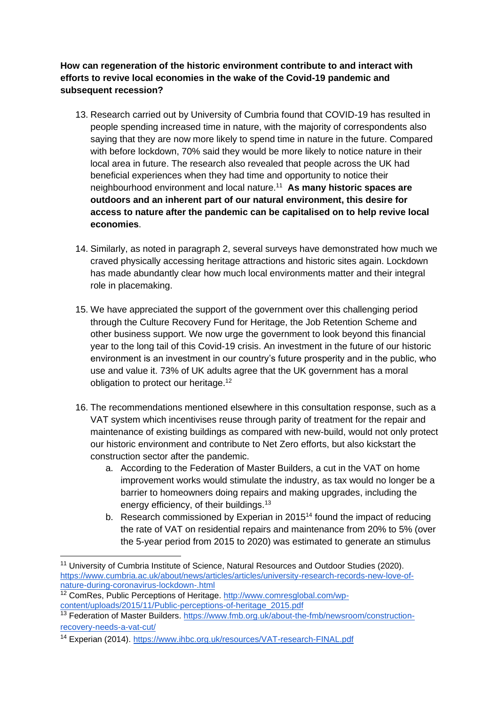**How can regeneration of the historic environment contribute to and interact with efforts to revive local economies in the wake of the Covid-19 pandemic and subsequent recession?**

- 13. Research carried out by University of Cumbria found that COVID-19 has resulted in people spending increased time in nature, with the majority of correspondents also saying that they are now more likely to spend time in nature in the future. Compared with before lockdown, 70% said they would be more likely to notice nature in their local area in future. The research also revealed that people across the UK had beneficial experiences when they had time and opportunity to notice their neighbourhood environment and local nature.<sup>11</sup> **As many historic spaces are outdoors and an inherent part of our natural environment, this desire for access to nature after the pandemic can be capitalised on to help revive local economies**.
- 14. Similarly, as noted in paragraph 2, several surveys have demonstrated how much we craved physically accessing heritage attractions and historic sites again. Lockdown has made abundantly clear how much local environments matter and their integral role in placemaking.
- 15. We have appreciated the support of the government over this challenging period through the Culture Recovery Fund for Heritage, the Job Retention Scheme and other business support. We now urge the government to look beyond this financial year to the long tail of this Covid-19 crisis. An investment in the future of our historic environment is an investment in our country's future prosperity and in the public, who use and value it. 73% of UK adults agree that the UK government has a moral obligation to protect our heritage.<sup>12</sup>
- 16. The recommendations mentioned elsewhere in this consultation response, such as a VAT system which incentivises reuse through parity of treatment for the repair and maintenance of existing buildings as compared with new-build, would not only protect our historic environment and contribute to Net Zero efforts, but also kickstart the construction sector after the pandemic.
	- a. According to the Federation of Master Builders, a cut in the VAT on home improvement works would stimulate the industry, as tax would no longer be a barrier to homeowners doing repairs and making upgrades, including the energy efficiency, of their buildings.<sup>13</sup>
	- b. Research commissioned by Experian in 2015<sup>14</sup> found the impact of reducing the rate of VAT on residential repairs and maintenance from 20% to 5% (over the 5-year period from 2015 to 2020) was estimated to generate an stimulus

<sup>&</sup>lt;sup>11</sup> University of Cumbria Institute of Science, Natural Resources and Outdoor Studies (2020). [https://www.cumbria.ac.uk/about/news/articles/articles/university-research-records-new-love-of](https://www.cumbria.ac.uk/about/news/articles/articles/university-research-records-new-love-of-nature-during-coronavirus-lockdown-.html)[nature-during-coronavirus-lockdown-.html](https://www.cumbria.ac.uk/about/news/articles/articles/university-research-records-new-love-of-nature-during-coronavirus-lockdown-.html)

<sup>&</sup>lt;sup>12</sup> ComRes, Public Perceptions of Heritage. [http://www.comresglobal.com/wp](http://www.comresglobal.com/wp-content/uploads/2015/11/Public-perceptions-of-heritage_2015.pdf)[content/uploads/2015/11/Public-perceptions-of-heritage\\_2015.pdf](http://www.comresglobal.com/wp-content/uploads/2015/11/Public-perceptions-of-heritage_2015.pdf)

<sup>&</sup>lt;sup>13</sup> Federation of Master Builders. [https://www.fmb.org.uk/about-the-fmb/newsroom/construction](https://www.fmb.org.uk/about-the-fmb/newsroom/construction-recovery-needs-a-vat-cut/)[recovery-needs-a-vat-cut/](https://www.fmb.org.uk/about-the-fmb/newsroom/construction-recovery-needs-a-vat-cut/)

<sup>14</sup> Experian (2014).<https://www.ihbc.org.uk/resources/VAT-research-FINAL.pdf>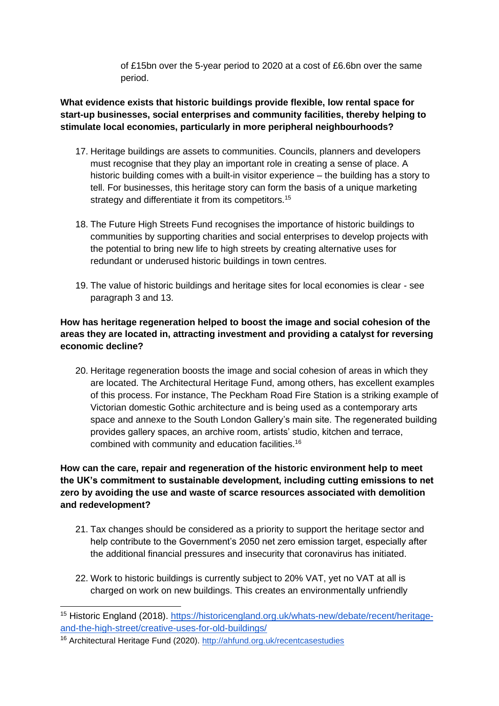of £15bn over the 5-year period to 2020 at a cost of £6.6bn over the same period.

#### **What evidence exists that historic buildings provide flexible, low rental space for start-up businesses, social enterprises and community facilities, thereby helping to stimulate local economies, particularly in more peripheral neighbourhoods?**

- 17. Heritage buildings are assets to communities. Councils, planners and developers must recognise that they play an important role in creating a sense of place. A historic building comes with a built-in visitor experience – the building has a story to tell. For businesses, this heritage story can form the basis of a unique marketing strategy and differentiate it from its competitors.<sup>15</sup>
- 18. The Future High Streets Fund recognises the importance of historic buildings to communities by supporting charities and social enterprises to develop projects with the potential to bring new life to high streets by creating alternative uses for redundant or underused historic buildings in town centres.
- 19. The value of historic buildings and heritage sites for local economies is clear see paragraph 3 and 13.

#### **How has heritage regeneration helped to boost the image and social cohesion of the areas they are located in, attracting investment and providing a catalyst for reversing economic decline?**

20. Heritage regeneration boosts the image and social cohesion of areas in which they are located. The Architectural Heritage Fund, among others, has excellent examples of this process. For instance, The Peckham Road Fire Station is a striking example of Victorian domestic Gothic architecture and is being used as a contemporary arts space and annexe to the South London Gallery's main site. The regenerated building provides gallery spaces, an archive room, artists' studio, kitchen and terrace, combined with community and education facilities.<sup>16</sup>

#### **How can the care, repair and regeneration of the historic environment help to meet the UK's commitment to sustainable development, including cutting emissions to net zero by avoiding the use and waste of scarce resources associated with demolition and redevelopment?**

- 21. Tax changes should be considered as a priority to support the heritage sector and help contribute to the Government's 2050 net zero emission target, especially after the additional financial pressures and insecurity that coronavirus has initiated.
- 22. Work to historic buildings is currently subject to 20% VAT, yet no VAT at all is charged on work on new buildings. This creates an environmentally unfriendly

<sup>15</sup> Historic England (2018). [https://historicengland.org.uk/whats-new/debate/recent/heritage](https://historicengland.org.uk/whats-new/debate/recent/heritage-and-the-high-street/creative-uses-for-old-buildings/)[and-the-high-street/creative-uses-for-old-buildings/](https://historicengland.org.uk/whats-new/debate/recent/heritage-and-the-high-street/creative-uses-for-old-buildings/)

<sup>16</sup> Architectural Heritage Fund (2020).<http://ahfund.org.uk/recentcasestudies>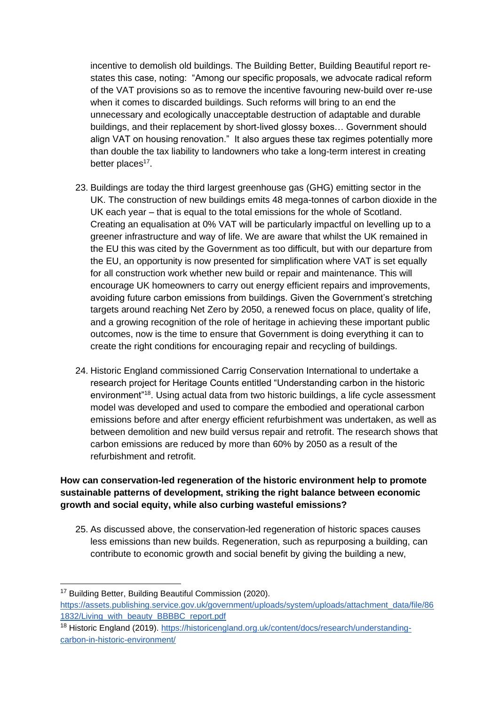incentive to demolish old buildings. The Building Better, Building Beautiful report restates this case, noting: "Among our specific proposals, we advocate radical reform of the VAT provisions so as to remove the incentive favouring new-build over re-use when it comes to discarded buildings. Such reforms will bring to an end the unnecessary and ecologically unacceptable destruction of adaptable and durable buildings, and their replacement by short-lived glossy boxes… Government should align VAT on housing renovation." It also argues these tax regimes potentially more than double the tax liability to landowners who take a long-term interest in creating better places<sup>17</sup>.

- 23. Buildings are today the third largest greenhouse gas (GHG) emitting sector in the UK. The construction of new buildings emits 48 mega-tonnes of carbon dioxide in the UK each year – that is equal to the total emissions for the whole of Scotland. Creating an equalisation at 0% VAT will be particularly impactful on levelling up to a greener infrastructure and way of life. We are aware that whilst the UK remained in the EU this was cited by the Government as too difficult, but with our departure from the EU, an opportunity is now presented for simplification where VAT is set equally for all construction work whether new build or repair and maintenance. This will encourage UK homeowners to carry out energy efficient repairs and improvements, avoiding future carbon emissions from buildings. Given the Government's stretching targets around reaching Net Zero by 2050, a renewed focus on place, quality of life, and a growing recognition of the role of heritage in achieving these important public outcomes, now is the time to ensure that Government is doing everything it can to create the right conditions for encouraging repair and recycling of buildings.
- 24. Historic England commissioned Carrig Conservation International to undertake a research project for Heritage Counts entitled "Understanding carbon in the historic environment"<sup>18</sup>. Using actual data from two historic buildings, a life cycle assessment model was developed and used to compare the embodied and operational carbon emissions before and after energy efficient refurbishment was undertaken, as well as between demolition and new build versus repair and retrofit. The research shows that carbon emissions are reduced by more than 60% by 2050 as a result of the refurbishment and retrofit.

#### **How can conservation-led regeneration of the historic environment help to promote sustainable patterns of development, striking the right balance between economic growth and social equity, while also curbing wasteful emissions?**

25. As discussed above, the conservation-led regeneration of historic spaces causes less emissions than new builds. Regeneration, such as repurposing a building, can contribute to economic growth and social benefit by giving the building a new,

<sup>&</sup>lt;sup>17</sup> Building Better, Building Beautiful Commission (2020).

[https://assets.publishing.service.gov.uk/government/uploads/system/uploads/attachment\\_data/file/86](https://assets.publishing.service.gov.uk/government/uploads/system/uploads/attachment_data/file/861832/Living_with_beauty_BBBBC_report.pdf) [1832/Living\\_with\\_beauty\\_BBBBC\\_report.pdf](https://assets.publishing.service.gov.uk/government/uploads/system/uploads/attachment_data/file/861832/Living_with_beauty_BBBBC_report.pdf)

<sup>18</sup> Historic England (2019). [https://historicengland.org.uk/content/docs/research/understanding](https://historicengland.org.uk/content/docs/research/understanding-carbon-in-historic-environment/)[carbon-in-historic-environment/](https://historicengland.org.uk/content/docs/research/understanding-carbon-in-historic-environment/)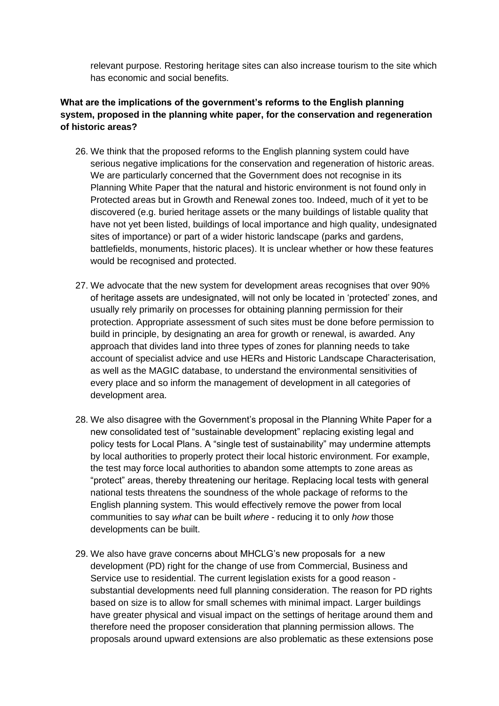relevant purpose. Restoring heritage sites can also increase tourism to the site which has economic and social benefits.

#### **What are the implications of the government's reforms to the English planning system, proposed in the planning white paper, for the conservation and regeneration of historic areas?**

- 26. We think that the proposed reforms to the English planning system could have serious negative implications for the conservation and regeneration of historic areas. We are particularly concerned that the Government does not recognise in its Planning White Paper that the natural and historic environment is not found only in Protected areas but in Growth and Renewal zones too. Indeed, much of it yet to be discovered (e.g. buried heritage assets or the many buildings of listable quality that have not yet been listed, buildings of local importance and high quality, undesignated sites of importance) or part of a wider historic landscape (parks and gardens, battlefields, monuments, historic places). It is unclear whether or how these features would be recognised and protected.
- 27. We advocate that the new system for development areas recognises that over 90% of heritage assets are undesignated, will not only be located in 'protected' zones, and usually rely primarily on processes for obtaining planning permission for their protection. Appropriate assessment of such sites must be done before permission to build in principle, by designating an area for growth or renewal, is awarded. Any approach that divides land into three types of zones for planning needs to take account of specialist advice and use HERs and Historic Landscape Characterisation, as well as the MAGIC database, to understand the environmental sensitivities of every place and so inform the management of development in all categories of development area.
- 28. We also disagree with the Government's proposal in the Planning White Paper for a new consolidated test of "sustainable development" replacing existing legal and policy tests for Local Plans. A "single test of sustainability" may undermine attempts by local authorities to properly protect their local historic environment. For example, the test may force local authorities to abandon some attempts to zone areas as "protect" areas, thereby threatening our heritage. Replacing local tests with general national tests threatens the soundness of the whole package of reforms to the English planning system. This would effectively remove the power from local communities to say *what* can be built *where* - reducing it to only *how* those developments can be built.
- 29. We also have grave concerns about MHCLG's new proposals for a new development (PD) right for the change of use from Commercial, Business and Service use to residential. The current legislation exists for a good reason substantial developments need full planning consideration. The reason for PD rights based on size is to allow for small schemes with minimal impact. Larger buildings have greater physical and visual impact on the settings of heritage around them and therefore need the proposer consideration that planning permission allows. The proposals around upward extensions are also problematic as these extensions pose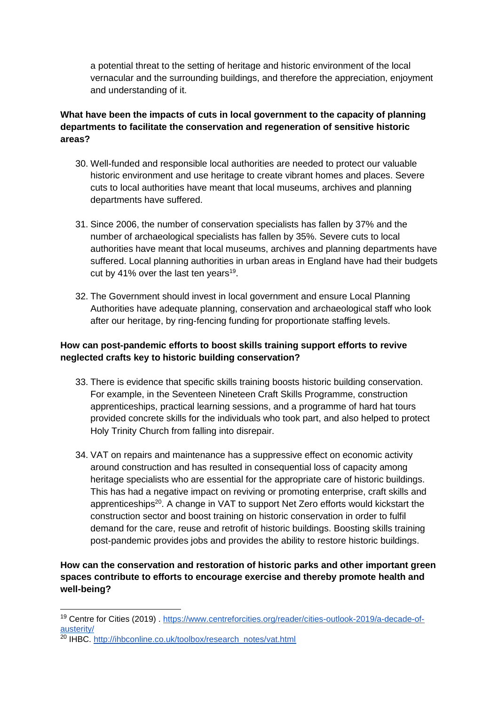a potential threat to the setting of heritage and historic environment of the local vernacular and the surrounding buildings, and therefore the appreciation, enjoyment and understanding of it.

#### **What have been the impacts of cuts in local government to the capacity of planning departments to facilitate the conservation and regeneration of sensitive historic areas?**

- 30. Well-funded and responsible local authorities are needed to protect our valuable historic environment and use heritage to create vibrant homes and places. Severe cuts to local authorities have meant that local museums, archives and planning departments have suffered.
- 31. Since 2006, the number of conservation specialists has fallen by 37% and the number of archaeological specialists has fallen by 35%. Severe cuts to local authorities have meant that local museums, archives and planning departments have suffered. Local planning authorities in urban areas in England have had their budgets cut by 41% over the last ten years<sup>19</sup>.
- 32. The Government should invest in local government and ensure Local Planning Authorities have adequate planning, conservation and archaeological staff who look after our heritage, by ring-fencing funding for proportionate staffing levels.

#### **How can post-pandemic efforts to boost skills training support efforts to revive neglected crafts key to historic building conservation?**

- 33. There is evidence that specific skills training boosts historic building conservation. For example, in the Seventeen Nineteen Craft Skills Programme, construction apprenticeships, practical learning sessions, and a programme of hard hat tours provided concrete skills for the individuals who took part, and also helped to protect Holy Trinity Church from falling into disrepair.
- 34. VAT on repairs and maintenance has a suppressive effect on economic activity around construction and has resulted in consequential loss of capacity among heritage specialists who are essential for the appropriate care of historic buildings. This has had a negative impact on reviving or promoting enterprise, craft skills and apprenticeships<sup>20</sup>. A change in VAT to support Net Zero efforts would kickstart the construction sector and boost training on historic conservation in order to fulfil demand for the care, reuse and retrofit of historic buildings. Boosting skills training post-pandemic provides jobs and provides the ability to restore historic buildings.

#### **How can the conservation and restoration of historic parks and other important green spaces contribute to efforts to encourage exercise and thereby promote health and well-being?**

<sup>19</sup> Centre for Cities (2019) . [https://www.centreforcities.org/reader/cities-outlook-2019/a-decade-of](https://www.centreforcities.org/reader/cities-outlook-2019/a-decade-of-austerity/)[austerity/](https://www.centreforcities.org/reader/cities-outlook-2019/a-decade-of-austerity/)

 $20$  IHBC. [http://ihbconline.co.uk/toolbox/research\\_notes/vat.html](http://ihbconline.co.uk/toolbox/research_notes/vat.html)